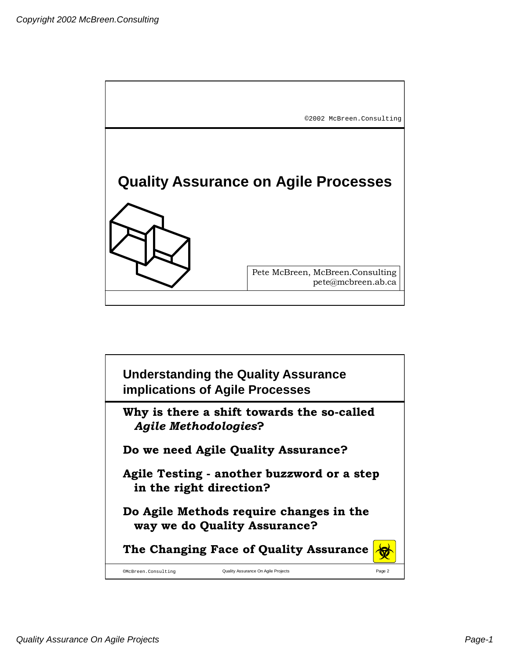

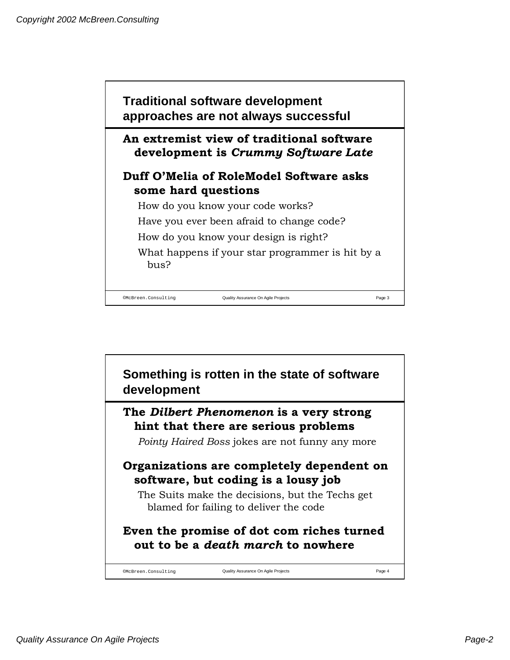

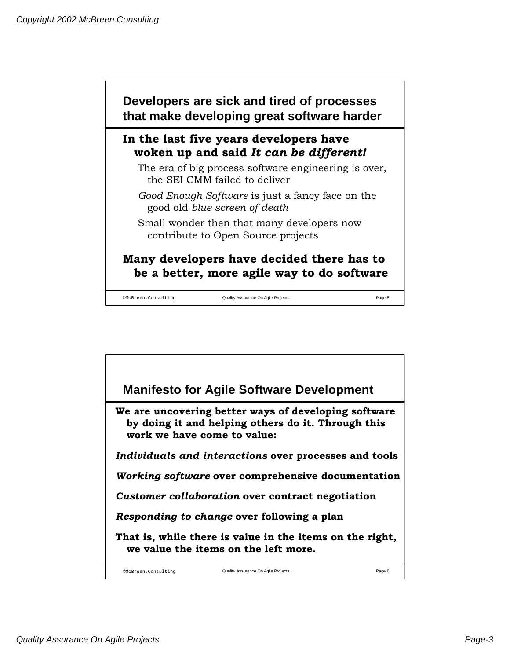

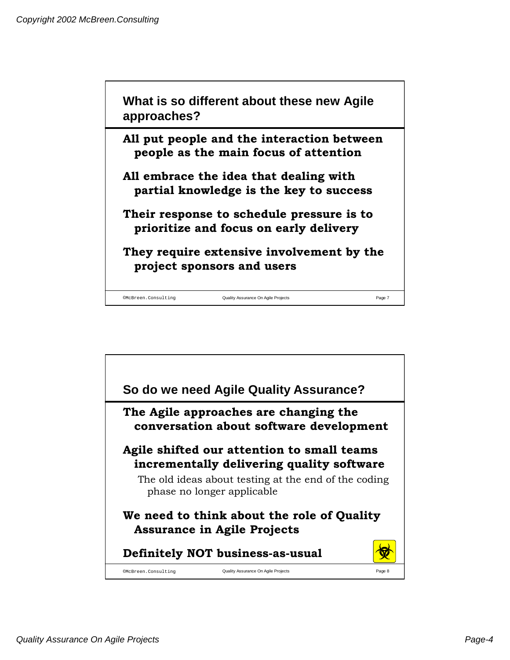**What is so different about these new Agile approaches? All put people and the interaction between**

**people as the main focus of attention**

**All embrace the idea that dealing with partial knowledge is the key to success**

**Their response to schedule pressure is to prioritize and focus on early delivery**

**They require extensive involvement by the project sponsors and users**

©McBreen.Consulting Quality Assurance On Agile Projects Page 7

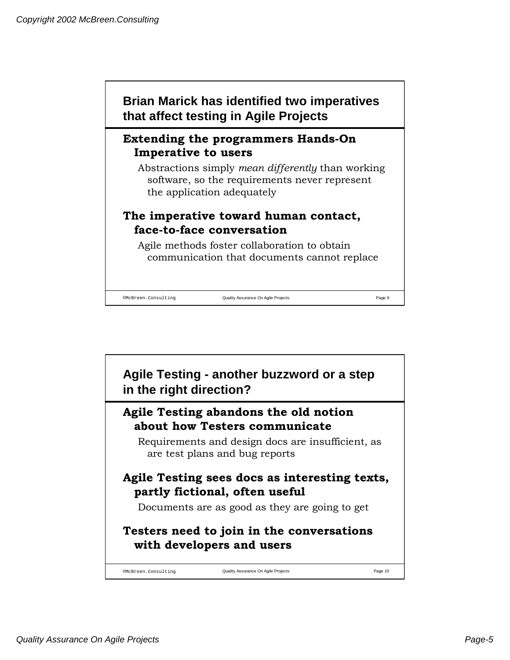

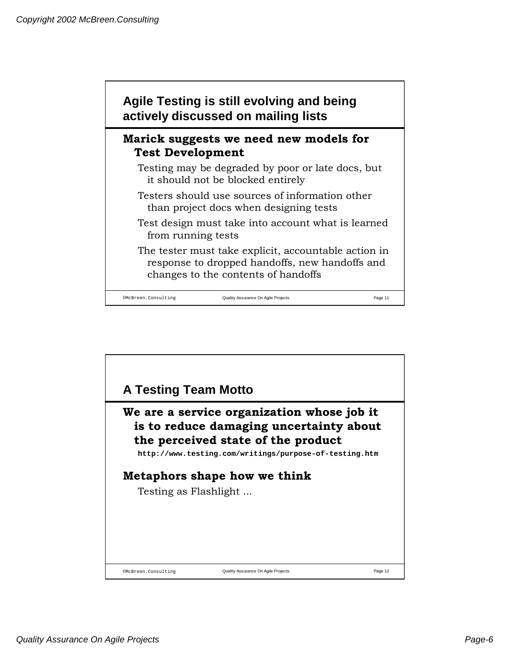

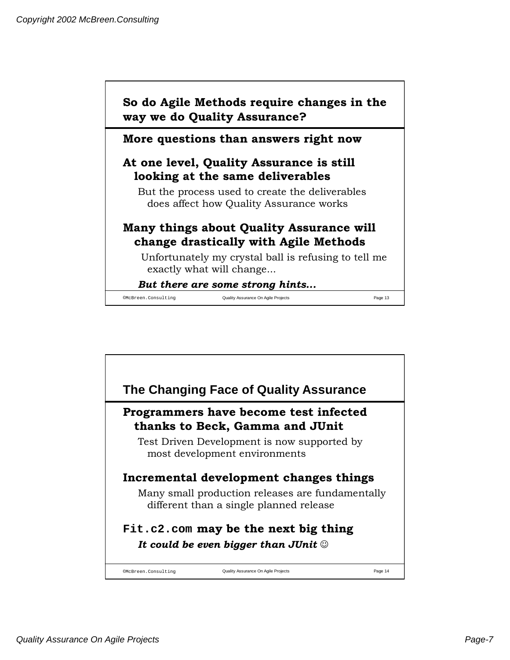

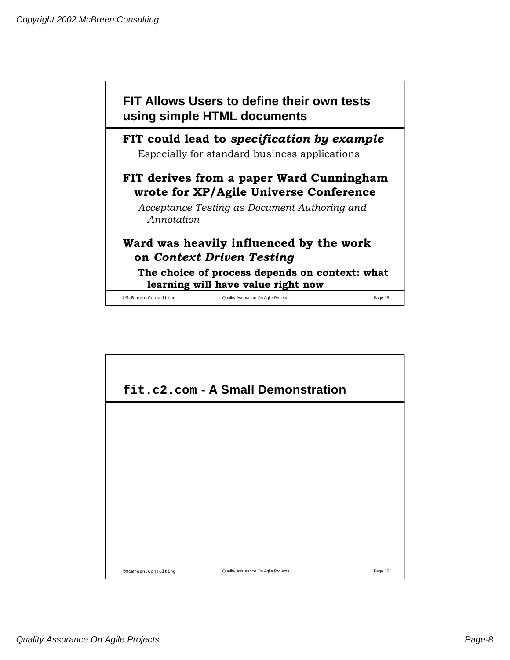